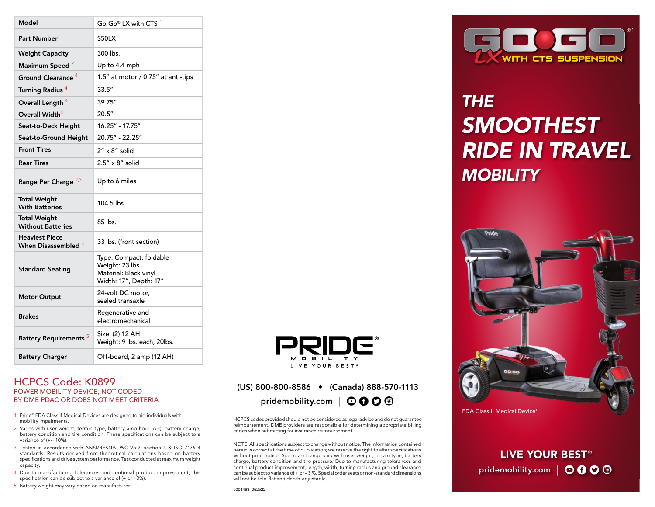| Model                                           | Go-Go <sup>®</sup> LX with CTS <sup>1</sup>                                                   |
|-------------------------------------------------|-----------------------------------------------------------------------------------------------|
| <b>Part Number</b>                              | <b>S50LX</b>                                                                                  |
| <b>Weight Capacity</b>                          | 300 lbs.                                                                                      |
| Maximum Speed <sup>2</sup>                      | Up to 4.4 mph                                                                                 |
| Ground Clearance <sup>4</sup>                   | 1.5" at motor / 0.75" at anti-tips                                                            |
| Turning Radius <sup>4</sup>                     | 33.5''                                                                                        |
| Overall Length <sup>4</sup>                     | 39.75"                                                                                        |
| Overall Width <sup>4</sup>                      | 20.5"                                                                                         |
| Seat-to-Deck Height                             | 16.25" - 17.75"                                                                               |
| Seat-to-Ground Height                           | 20.75" - 22.25"                                                                               |
| <b>Front Tires</b>                              | $2'' \times 8''$ solid                                                                        |
| <b>Rear Tires</b>                               | $2.5'' \times 8''$ solid                                                                      |
| Range Per Charge 2,3                            | Up to 6 miles                                                                                 |
| <b>Total Weight</b><br><b>With Batteries</b>    | 104.5 lbs.                                                                                    |
| <b>Total Weight</b><br><b>Without Batteries</b> | 85 lbs.                                                                                       |
| <b>Heaviest Piece</b><br>When Disassembled 4    | 33 lbs. (front section)                                                                       |
| <b>Standard Seating</b>                         | Type: Compact, foldable<br>Weight: 23 lbs.<br>Material: Black vinyl<br>Width: 17", Depth: 17" |
| <b>Motor Output</b>                             | 24-volt DC motor.<br>sealed transaxle                                                         |
| <b>Brakes</b>                                   | Regenerative and<br>electromechanical                                                         |
| <b>Battery Requirements<sup>5</sup></b>         | Size: (2) 12 AH<br>Weight: 9 lbs. each, 20lbs.                                                |
| <b>Battery Charger</b>                          | Off-board, 2 amp (12 AH)                                                                      |

#### HCPCS Code: K0899 POWER MOBILITY DEVICE, NOT CODED BY DME PDAC OR DOES NOT MEET CRITERIA

- 1 Pride® FDA Class II Medical Devices are designed to aid individuals with mobility impairments.
- 2 Varies with user weight, terrain type, battery amp-hour (AH), battery charge, battery condition and tire condition. These specifications can be subject to a variance of (+/- 10%).
- 3 Tested in accordance with ANSI/RESNA, WC Vol2, section 4 & ISO 7176-4 standards. Results derived from theoretical calculations based on battery specifications and drive system performance. Test conducted at maximum weight capacity.
- 4 Due to manufacturing tolerances and continual product improvement, this specification can be subject to a variance of (+ or - 3%).
- 5 Battery weight may vary based on manufacturer.



### (US) 800-800-8586 • (Canada) 888-570-1113 pridemobility.com |  $\odot$  0  $\odot$  <sup>6</sup>

HCPCS codes provided should not be considered as legal advice and do not guarantee reimbursement. DME providers are responsible for determining appropriate billing codes when submitting for insurance reimbursement.

NOTE: All specifications subject to change without notice. The information contained herein is correct at the time of publication; we reserve the right to alter specifications without prior notice. Speed and range vary with user weight, terrain type, battery charge, battery condition and tire pressure. Due to manufacturing tolerances and continual product improvement, length, width, turning radius and ground clearance can be subject to variance of + or – 3 %. Special order seats or non-standard dimensions will not be fold-flat and depth-adjustable.



## *THE SMOOTHEST RIDE IN TRAVEL MOBILITY*



FDA Class II Medical Device<sup>1</sup>